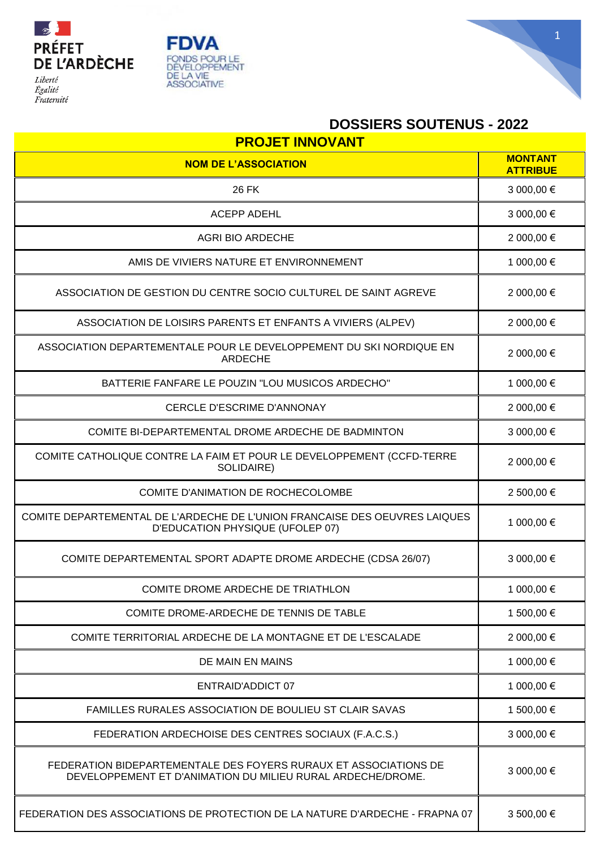





## **DOSSIERS SOUTENUS - 2022**

| <b>PROJET INNOVANT</b>                                                                                                          |                                   |  |
|---------------------------------------------------------------------------------------------------------------------------------|-----------------------------------|--|
| <b>NOM DE L'ASSOCIATION</b>                                                                                                     | <b>MONTANT</b><br><b>ATTRIBUE</b> |  |
| <b>26 FK</b>                                                                                                                    | 3 000,00 €                        |  |
| <b>ACEPP ADEHL</b>                                                                                                              | 3 000,00 €                        |  |
| <b>AGRI BIO ARDECHE</b>                                                                                                         | 2 000,00 €                        |  |
| AMIS DE VIVIERS NATURE ET ENVIRONNEMENT                                                                                         | 1 000,00 €                        |  |
| ASSOCIATION DE GESTION DU CENTRE SOCIO CULTUREL DE SAINT AGREVE                                                                 | 2 000,00 €                        |  |
| ASSOCIATION DE LOISIRS PARENTS ET ENFANTS A VIVIERS (ALPEV)                                                                     | 2 000,00 €                        |  |
| ASSOCIATION DEPARTEMENTALE POUR LE DEVELOPPEMENT DU SKI NORDIQUE EN<br><b>ARDECHE</b>                                           | 2 000,00 €                        |  |
| BATTERIE FANFARE LE POUZIN "LOU MUSICOS ARDECHO"                                                                                | 1 000,00 €                        |  |
| CERCLE D'ESCRIME D'ANNONAY                                                                                                      | 2 000,00 €                        |  |
| COMITE BI-DEPARTEMENTAL DROME ARDECHE DE BADMINTON                                                                              | 3 000,00 €                        |  |
| COMITE CATHOLIQUE CONTRE LA FAIM ET POUR LE DEVELOPPEMENT (CCFD-TERRE<br>SOLIDAIRE)                                             | 2 000,00 €                        |  |
| COMITE D'ANIMATION DE ROCHECOLOMBE                                                                                              | 2 500,00 €                        |  |
| COMITE DEPARTEMENTAL DE L'ARDECHE DE L'UNION FRANCAISE DES OEUVRES LAIQUES<br>D'EDUCATION PHYSIQUE (UFOLEP 07)                  | 1 000,00 €                        |  |
| COMITE DEPARTEMENTAL SPORT ADAPTE DROME ARDECHE (CDSA 26/07)                                                                    | 3 000,00 €                        |  |
| COMITE DROME ARDECHE DE TRIATHLON                                                                                               | 1 000,00 €                        |  |
| COMITE DROME-ARDECHE DE TENNIS DE TABLE                                                                                         | 1 500,00 €                        |  |
| COMITE TERRITORIAL ARDECHE DE LA MONTAGNE ET DE L'ESCALADE                                                                      | 2 000,00 €                        |  |
| DE MAIN EN MAINS                                                                                                                | 1 000,00 €                        |  |
| <b>ENTRAID'ADDICT 07</b>                                                                                                        | 1 000,00 €                        |  |
| FAMILLES RURALES ASSOCIATION DE BOULIEU ST CLAIR SAVAS                                                                          | 1 500,00 €                        |  |
| FEDERATION ARDECHOISE DES CENTRES SOCIAUX (F.A.C.S.)                                                                            | 3 000,00 €                        |  |
| FEDERATION BIDEPARTEMENTALE DES FOYERS RURAUX ET ASSOCIATIONS DE<br>DEVELOPPEMENT ET D'ANIMATION DU MILIEU RURAL ARDECHE/DROME. | 3 000,00 €                        |  |
| FEDERATION DES ASSOCIATIONS DE PROTECTION DE LA NATURE D'ARDECHE - FRAPNA 07                                                    | 3 500,00 €                        |  |